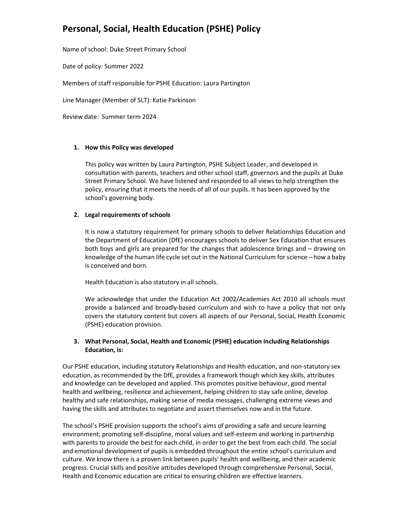Name of school: Duke Street Primary School

Date of policy: Summer 2022

Members of staff responsible for PSHE Education: Laura Partington

Line Manager (Member of SLT): Katie Parkinson

Review date: Summer term 2024

#### 1. How this Policy was developed

This policy was written by Laura Partington, PSHE Subject Leader, and developed in consultation with parents, teachers and other school staff, governors and the pupils at Duke Street Primary School. We have listened and responded to all views to help strengthen the policy, ensuring that it meets the needs of all of our pupils. It has been approved by the school's governing body.

### 2. Legal requirements of schools

It is now a statutory requirement for primary schools to deliver Relationships Education and the Department of Education (DfE) encourages schools to deliver Sex Education that ensures both boys and girls are prepared for the changes that adolescence brings and – drawing on knowledge of the human life cycle set out in the National Curriculum for science – how a baby is conceived and born.

Health Education is also statutory in all schools.

We acknowledge that under the Education Act 2002/Academies Act 2010 all schools must provide a balanced and broadly-based curriculum and wish to have a policy that not only covers the statutory content but covers all aspects of our Personal, Social, Health Economic (PSHE) education provision.

### 3. What Personal, Social, Health and Economic (PSHE) education including Relationships Education, is:

Our PSHE education, including statutory Relationships and Health education, and non-statutory sex education, as recommended by the DfE, provides a framework though which key skills, attributes and knowledge can be developed and applied. This promotes positive behaviour, good mental health and wellbeing, resilience and achievement, helping children to stay safe online, develop healthy and safe relationships, making sense of media messages, challenging extreme views and having the skills and attributes to negotiate and assert themselves now and in the future.

The school's PSHE provision supports the school's aims of providing a safe and secure learning environment; promoting self-discipline, moral values and self-esteem and working in partnership with parents to provide the best for each child, in order to get the best from each child. The social and emotional development of pupils is embedded throughout the entire school's curriculum and culture. We know there is a proven link between pupils' health and wellbeing, and their academic progress. Crucial skills and positive attitudes developed through comprehensive Personal, Social, Health and Economic education are critical to ensuring children are effective learners.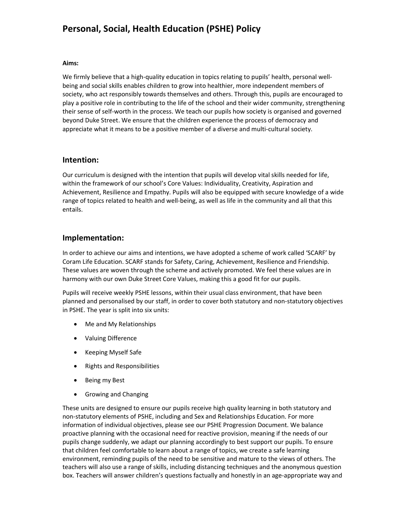#### Aims:

We firmly believe that a high-quality education in topics relating to pupils' health, personal wellbeing and social skills enables children to grow into healthier, more independent members of society, who act responsibly towards themselves and others. Through this, pupils are encouraged to play a positive role in contributing to the life of the school and their wider community, strengthening their sense of self-worth in the process. We teach our pupils how society is organised and governed beyond Duke Street. We ensure that the children experience the process of democracy and appreciate what it means to be a positive member of a diverse and multi-cultural society.

### Intention:

Our curriculum is designed with the intention that pupils will develop vital skills needed for life, within the framework of our school's Core Values: Individuality, Creativity, Aspiration and Achievement, Resilience and Empathy. Pupils will also be equipped with secure knowledge of a wide range of topics related to health and well-being, as well as life in the community and all that this entails.

## Implementation:

In order to achieve our aims and intentions, we have adopted a scheme of work called 'SCARF' by Coram Life Education. SCARF stands for Safety, Caring, Achievement, Resilience and Friendship. These values are woven through the scheme and actively promoted. We feel these values are in harmony with our own Duke Street Core Values, making this a good fit for our pupils.

Pupils will receive weekly PSHE lessons, within their usual class environment, that have been planned and personalised by our staff, in order to cover both statutory and non-statutory objectives in PSHE. The year is split into six units:

- Me and My Relationships
- Valuing Difference
- Keeping Myself Safe
- Rights and Responsibilities
- Being my Best
- Growing and Changing

These units are designed to ensure our pupils receive high quality learning in both statutory and non-statutory elements of PSHE, including and Sex and Relationships Education. For more information of individual objectives, please see our PSHE Progression Document. We balance proactive planning with the occasional need for reactive provision, meaning if the needs of our pupils change suddenly, we adapt our planning accordingly to best support our pupils. To ensure that children feel comfortable to learn about a range of topics, we create a safe learning environment, reminding pupils of the need to be sensitive and mature to the views of others. The teachers will also use a range of skills, including distancing techniques and the anonymous question box. Teachers will answer children's questions factually and honestly in an age-appropriate way and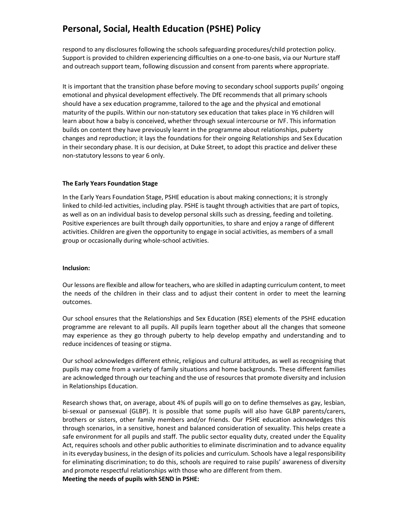respond to any disclosures following the schools safeguarding procedures/child protection policy. Support is provided to children experiencing difficulties on a one-to-one basis, via our Nurture staff and outreach support team, following discussion and consent from parents where appropriate.

It is important that the transition phase before moving to secondary school supports pupils' ongoing emotional and physical development effectively. The DfE recommends that all primary schools should have a sex education programme, tailored to the age and the physical and emotional maturity of the pupils. Within our non-statutory sex education that takes place in Y6 children will learn about how a baby is conceived, whether through sexual intercourse or IVF. This information builds on content they have previously learnt in the programme about relationships, puberty changes and reproduction; it lays the foundations for their ongoing Relationships and Sex Education in their secondary phase. It is our decision, at Duke Street, to adopt this practice and deliver these non-statutory lessons to year 6 only.

#### The Early Years Foundation Stage

In the Early Years Foundation Stage, PSHE education is about making connections; it is strongly linked to child-led activities, including play. PSHE is taught through activities that are part of topics, as well as on an individual basis to develop personal skills such as dressing, feeding and toileting. Positive experiences are built through daily opportunities, to share and enjoy a range of different activities. Children are given the opportunity to engage in social activities, as members of a small group or occasionally during whole-school activities.

#### Inclusion:

Our lessons are flexible and allow for teachers, who are skilled in adapting curriculum content, to meet the needs of the children in their class and to adjust their content in order to meet the learning outcomes.

Our school ensures that the Relationships and Sex Education (RSE) elements of the PSHE education programme are relevant to all pupils. All pupils learn together about all the changes that someone may experience as they go through puberty to help develop empathy and understanding and to reduce incidences of teasing or stigma.

Our school acknowledges different ethnic, religious and cultural attitudes, as well as recognising that pupils may come from a variety of family situations and home backgrounds. These different families are acknowledged through our teaching and the use of resources that promote diversity and inclusion in Relationships Education.

Research shows that, on average, about 4% of pupils will go on to define themselves as gay, lesbian, bi-sexual or pansexual (GLBP). It is possible that some pupils will also have GLBP parents/carers, brothers or sisters, other family members and/or friends. Our PSHE education acknowledges this through scenarios, in a sensitive, honest and balanced consideration of sexuality. This helps create a safe environment for all pupils and staff. The public sector equality duty, created under the Equality Act, requires schools and other public authorities to eliminate discrimination and to advance equality in its everyday business, in the design of its policies and curriculum. Schools have a legal responsibility for eliminating discrimination; to do this, schools are required to raise pupils' awareness of diversity and promote respectful relationships with those who are different from them. Meeting the needs of pupils with SEND in PSHE: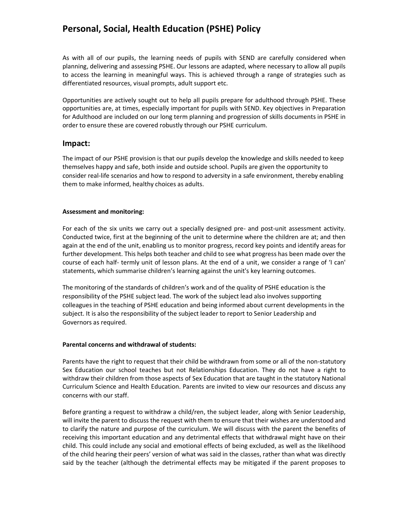As with all of our pupils, the learning needs of pupils with SEND are carefully considered when planning, delivering and assessing PSHE. Our lessons are adapted, where necessary to allow all pupils to access the learning in meaningful ways. This is achieved through a range of strategies such as differentiated resources, visual prompts, adult support etc.

Opportunities are actively sought out to help all pupils prepare for adulthood through PSHE. These opportunities are, at times, especially important for pupils with SEND. Key objectives in Preparation for Adulthood are included on our long term planning and progression of skills documents in PSHE in order to ensure these are covered robustly through our PSHE curriculum.

### Impact:

The impact of our PSHE provision is that our pupils develop the knowledge and skills needed to keep themselves happy and safe, both inside and outside school. Pupils are given the opportunity to consider real-life scenarios and how to respond to adversity in a safe environment, thereby enabling them to make informed, healthy choices as adults.

#### Assessment and monitoring:

For each of the six units we carry out a specially designed pre- and post-unit assessment activity. Conducted twice, first at the beginning of the unit to determine where the children are at; and then again at the end of the unit, enabling us to monitor progress, record key points and identify areas for further development. This helps both teacher and child to see what progress has been made over the course of each half- termly unit of lesson plans. At the end of a unit, we consider a range of 'I can' statements, which summarise children's learning against the unit's key learning outcomes.

The monitoring of the standards of children's work and of the quality of PSHE education is the responsibility of the PSHE subject lead. The work of the subject lead also involves supporting colleagues in the teaching of PSHE education and being informed about current developments in the subject. It is also the responsibility of the subject leader to report to Senior Leadership and Governors as required.

#### Parental concerns and withdrawal of students:

Parents have the right to request that their child be withdrawn from some or all of the non-statutory Sex Education our school teaches but not Relationships Education. They do not have a right to withdraw their children from those aspects of Sex Education that are taught in the statutory National Curriculum Science and Health Education. Parents are invited to view our resources and discuss any concerns with our staff.

Before granting a request to withdraw a child/ren, the subject leader, along with Senior Leadership, will invite the parent to discuss the request with them to ensure that their wishes are understood and to clarify the nature and purpose of the curriculum. We will discuss with the parent the benefits of receiving this important education and any detrimental effects that withdrawal might have on their child. This could include any social and emotional effects of being excluded, as well as the likelihood of the child hearing their peers' version of what was said in the classes, rather than what was directly said by the teacher (although the detrimental effects may be mitigated if the parent proposes to